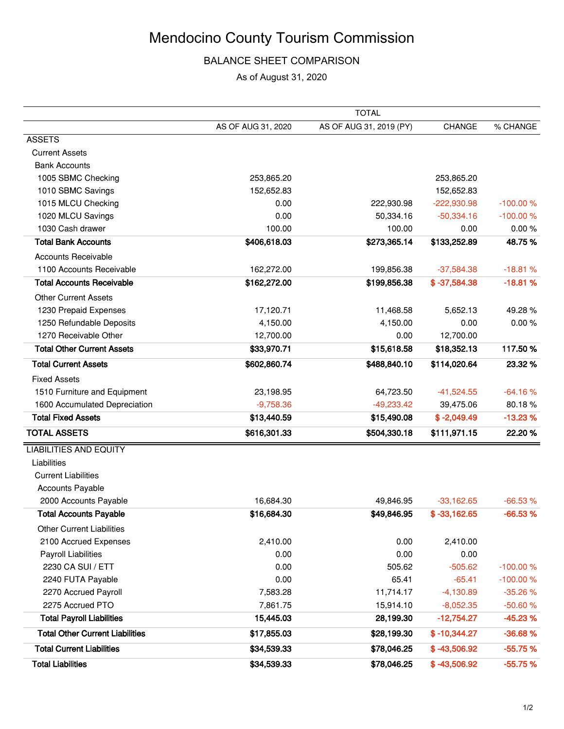### BALANCE SHEET COMPARISON

As of August 31, 2020

|                                        |                    | <b>TOTAL</b>            |                |            |
|----------------------------------------|--------------------|-------------------------|----------------|------------|
|                                        | AS OF AUG 31, 2020 | AS OF AUG 31, 2019 (PY) | CHANGE         | % CHANGE   |
| <b>ASSETS</b>                          |                    |                         |                |            |
| <b>Current Assets</b>                  |                    |                         |                |            |
| <b>Bank Accounts</b>                   |                    |                         |                |            |
| 1005 SBMC Checking                     | 253,865.20         |                         | 253,865.20     |            |
| 1010 SBMC Savings                      | 152,652.83         |                         | 152,652.83     |            |
| 1015 MLCU Checking                     | 0.00               | 222,930.98              | $-222,930.98$  | $-100.00%$ |
| 1020 MLCU Savings                      | 0.00               | 50,334.16               | $-50,334.16$   | $-100.00%$ |
| 1030 Cash drawer                       | 100.00             | 100.00                  | 0.00           | 0.00%      |
| <b>Total Bank Accounts</b>             | \$406,618.03       | \$273,365.14            | \$133,252.89   | 48.75%     |
| <b>Accounts Receivable</b>             |                    |                         |                |            |
| 1100 Accounts Receivable               | 162,272.00         | 199,856.38              | $-37,584.38$   | $-18.81%$  |
| <b>Total Accounts Receivable</b>       | \$162,272.00       | \$199,856.38            | $$ -37,584.38$ | $-18.81%$  |
| <b>Other Current Assets</b>            |                    |                         |                |            |
| 1230 Prepaid Expenses                  | 17,120.71          | 11,468.58               | 5,652.13       | 49.28%     |
| 1250 Refundable Deposits               | 4,150.00           | 4,150.00                | 0.00           | 0.00%      |
| 1270 Receivable Other                  | 12,700.00          | 0.00                    | 12,700.00      |            |
| <b>Total Other Current Assets</b>      | \$33,970.71        | \$15,618.58             | \$18,352.13    | 117.50%    |
| <b>Total Current Assets</b>            | \$602,860.74       | \$488,840.10            | \$114,020.64   | 23.32%     |
| <b>Fixed Assets</b>                    |                    |                         |                |            |
| 1510 Furniture and Equipment           | 23,198.95          | 64,723.50               | $-41,524.55$   | $-64.16%$  |
| 1600 Accumulated Depreciation          | $-9,758.36$        | $-49,233.42$            | 39,475.06      | 80.18%     |
| <b>Total Fixed Assets</b>              | \$13,440.59        | \$15,490.08             | $$ -2,049.49$  | $-13.23%$  |
| <b>TOTAL ASSETS</b>                    | \$616,301.33       | \$504,330.18            | \$111,971.15   | 22.20%     |
| <b>LIABILITIES AND EQUITY</b>          |                    |                         |                |            |
| Liabilities                            |                    |                         |                |            |
| <b>Current Liabilities</b>             |                    |                         |                |            |
| <b>Accounts Payable</b>                |                    |                         |                |            |
| 2000 Accounts Payable                  | 16,684.30          | 49,846.95               | $-33,162.65$   | $-66.53%$  |
| <b>Total Accounts Payable</b>          | \$16,684.30        | \$49,846.95             | $$ -33,162.65$ | $-66.53%$  |
| <b>Other Current Liabilities</b>       |                    |                         |                |            |
| 2100 Accrued Expenses                  | 2,410.00           | 0.00                    | 2,410.00       |            |
| Payroll Liabilities                    | 0.00               | 0.00                    | 0.00           |            |
| 2230 CA SUI / ETT                      | 0.00               | 505.62                  | $-505.62$      | $-100.00%$ |
| 2240 FUTA Payable                      | 0.00               | 65.41                   | $-65.41$       | $-100.00%$ |
| 2270 Accrued Payroll                   | 7,583.28           | 11,714.17               | $-4,130.89$    | $-35.26%$  |
| 2275 Accrued PTO                       | 7,861.75           | 15,914.10               | $-8,052.35$    | $-50.60%$  |
| <b>Total Payroll Liabilities</b>       | 15,445.03          | 28,199.30               | $-12,754.27$   | $-45.23%$  |
| <b>Total Other Current Liabilities</b> | \$17,855.03        | \$28,199.30             | $$ -10,344.27$ | $-36.68%$  |
| <b>Total Current Liabilities</b>       | \$34,539.33        | \$78,046.25             | $$ -43,506.92$ | $-55.75%$  |
| <b>Total Liabilities</b>               | \$34,539.33        | \$78,046.25             | $$ -43,506.92$ | $-55.75%$  |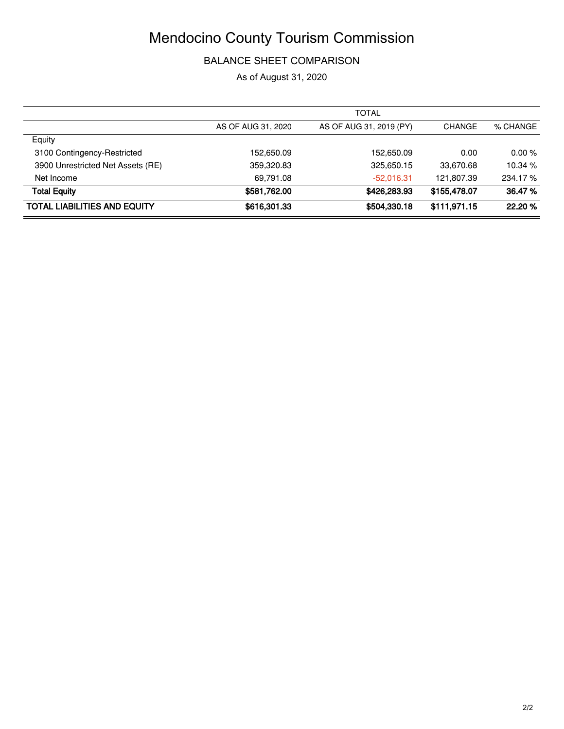### BALANCE SHEET COMPARISON

As of August 31, 2020

|                                     |                    | <b>TOTAL</b>            |               |          |
|-------------------------------------|--------------------|-------------------------|---------------|----------|
|                                     | AS OF AUG 31, 2020 | AS OF AUG 31, 2019 (PY) | <b>CHANGE</b> | % CHANGE |
| Equity                              |                    |                         |               |          |
| 3100 Contingency-Restricted         | 152,650.09         | 152.650.09              | 0.00          | 0.00%    |
| 3900 Unrestricted Net Assets (RE)   | 359,320.83         | 325,650.15              | 33,670.68     | 10.34 %  |
| Net Income                          | 69,791.08          | $-52,016.31$            | 121,807.39    | 234.17%  |
| <b>Total Equity</b>                 | \$581,762.00       | \$426,283.93            | \$155,478.07  | 36.47 %  |
| <b>TOTAL LIABILITIES AND EQUITY</b> | \$616,301,33       | \$504,330.18            | \$111,971.15  | 22.20%   |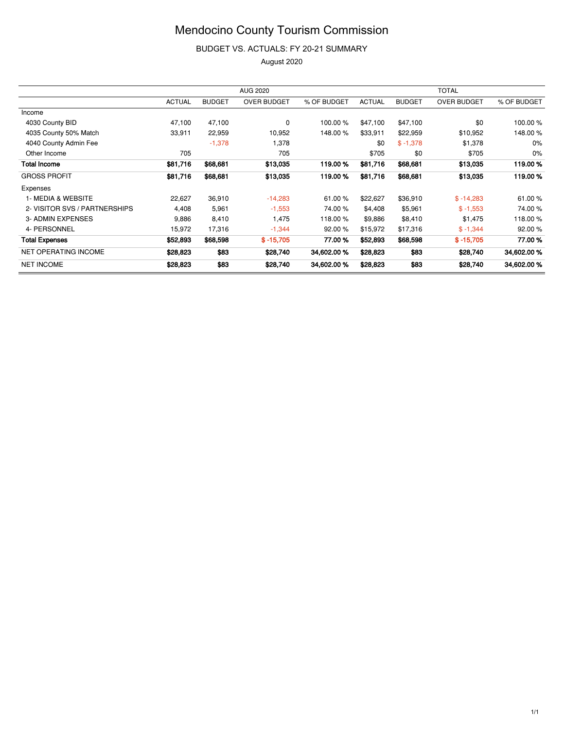BUDGET VS. ACTUALS: FY 20-21 SUMMARY

|                               | <b>AUG 2020</b> |               |                    | <b>TOTAL</b> |               |               |                    |             |
|-------------------------------|-----------------|---------------|--------------------|--------------|---------------|---------------|--------------------|-------------|
|                               | <b>ACTUAL</b>   | <b>BUDGET</b> | <b>OVER BUDGET</b> | % OF BUDGET  | <b>ACTUAL</b> | <b>BUDGET</b> | <b>OVER BUDGET</b> | % OF BUDGET |
| Income                        |                 |               |                    |              |               |               |                    |             |
| 4030 County BID               | 47,100          | 47,100        | 0                  | 100.00 %     | \$47,100      | \$47,100      | \$0                | 100.00 %    |
| 4035 County 50% Match         | 33,911          | 22,959        | 10,952             | 148.00 %     | \$33,911      | \$22,959      | \$10,952           | 148.00 %    |
| 4040 County Admin Fee         |                 | $-1,378$      | 1,378              |              | \$0           | $$ -1,378$    | \$1,378            | 0%          |
| Other Income                  | 705             |               | 705                |              | \$705         | \$0           | \$705              | 0%          |
| <b>Total Income</b>           | \$81,716        | \$68,681      | \$13,035           | 119.00%      | \$81,716      | \$68,681      | \$13,035           | 119.00%     |
| <b>GROSS PROFIT</b>           | \$81,716        | \$68,681      | \$13,035           | 119.00%      | \$81,716      | \$68,681      | \$13,035           | 119.00%     |
| Expenses                      |                 |               |                    |              |               |               |                    |             |
| 1- MEDIA & WEBSITE            | 22,627          | 36,910        | $-14,283$          | 61.00%       | \$22,627      | \$36,910      | $$ -14,283$        | 61.00 %     |
| 2- VISITOR SVS / PARTNERSHIPS | 4,408           | 5,961         | $-1,553$           | 74.00 %      | \$4,408       | \$5,961       | $$ -1,553$         | 74.00 %     |
| 3- ADMIN EXPENSES             | 9,886           | 8,410         | 1,475              | 118.00 %     | \$9,886       | \$8,410       | \$1,475            | 118.00 %    |
| 4- PERSONNEL                  | 15,972          | 17,316        | $-1,344$           | 92.00 %      | \$15,972      | \$17,316      | $$ -1,344$         | 92.00 %     |
| <b>Total Expenses</b>         | \$52,893        | \$68,598      | $$ -15,705$        | 77.00 %      | \$52,893      | \$68,598      | $$ -15,705$        | 77.00 %     |
| NET OPERATING INCOME          | \$28,823        | \$83          | \$28,740           | 34,602.00 %  | \$28,823      | \$83          | \$28,740           | 34,602.00 % |
| <b>NET INCOME</b>             | \$28,823        | \$83          | \$28,740           | 34,602.00 %  | \$28,823      | \$83          | \$28,740           | 34,602.00 % |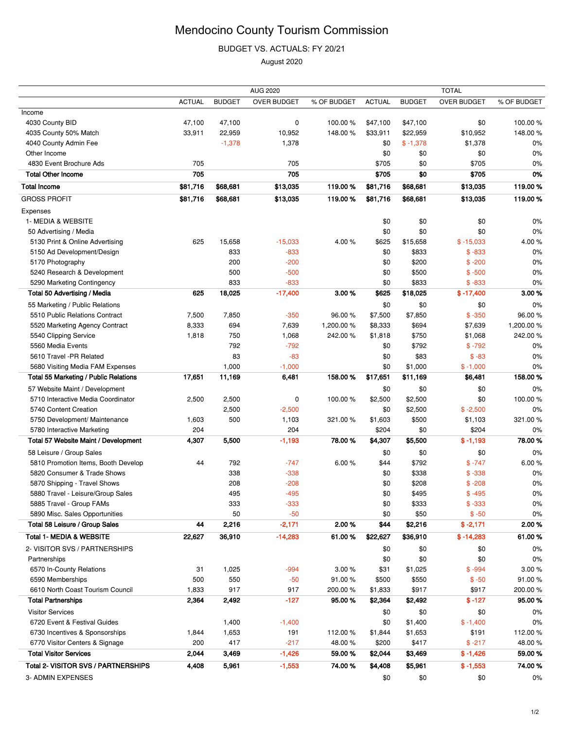BUDGET VS. ACTUALS: FY 20/21

| <b>ACTUAL</b><br>% OF BUDGET<br><b>BUDGET</b><br><b>OVER BUDGET</b><br>% OF BUDGET<br><b>ACTUAL</b><br><b>BUDGET</b><br><b>OVER BUDGET</b><br>Income<br>100.00%<br>4030 County BID<br>47,100<br>47,100<br>0<br>100.00%<br>\$47,100<br>\$47,100<br>\$0<br>33,911<br>22,959<br>148.00%<br>\$10,952<br>148.00%<br>4035 County 50% Match<br>10,952<br>\$33,911<br>\$22,959<br>$-1,378$<br>$$ -1,378$<br>4040 County Admin Fee<br>1,378<br>\$0<br>\$1,378<br>$0\%$<br>Other Income<br>\$0<br>\$0<br>\$0<br>0%<br>4830 Event Brochure Ads<br>705<br>705<br>\$705<br>\$705<br>\$0<br>0%<br>705<br>\$0<br>705<br>\$705<br>0%<br><b>Total Other Income</b><br>\$705<br><b>Total Income</b><br>\$81,716<br>\$68,681<br>119.00%<br>\$81,716<br>\$68,681<br>\$13,035<br>119.00%<br>\$13,035<br><b>GROSS PROFIT</b><br>\$81,716<br>119.00%<br>\$68,681<br>\$13,035<br>119.00%<br>\$81,716<br>\$68,681<br>\$13,035<br>Expenses<br>1- MEDIA & WEBSITE<br>\$0<br>\$0<br>\$0<br>0%<br>\$0<br>\$0<br>\$0<br>0%<br>50 Advertising / Media<br>$-15,033$<br>625<br>15,658<br>4.00%<br>\$625<br>\$15,658<br>$$ -15,033$<br>4.00%<br>5130 Print & Online Advertising<br>$-833$<br>5150 Ad Development/Design<br>833<br>\$0<br>\$833<br>$$ -833$<br>0%<br>$-200$<br>5170 Photography<br>200<br>\$0<br>\$200<br>$$ -200$<br>0%<br>5240 Research & Development<br>500<br>$-500$<br>\$0<br>\$500<br>$$ -500$<br>0%<br>833<br>$-833$<br>\$833<br>5290 Marketing Contingency<br>\$0<br>$$ -833$<br>0%<br>18,025<br>$-17,400$<br>3.00%<br>\$18,025<br>3.00%<br><b>Total 50 Advertising / Media</b><br>625<br>\$625<br>$$ -17,400$<br>55 Marketing / Public Relations<br>\$0<br>\$0<br>\$0<br>0%<br>5510 Public Relations Contract<br>96.00%<br>7,500<br>7,850<br>$-350$<br>96.00%<br>\$7,500<br>\$7,850<br>$$ -350$<br>1,200.00%<br>8,333<br>694<br>7,639<br>1,200.00%<br>\$8,333<br>\$694<br>\$7,639<br>5520 Marketing Agency Contract<br>5540 Clipping Service<br>242.00%<br>1,818<br>750<br>1,068<br>242.00%<br>\$1,818<br>\$750<br>\$1,068<br>5560 Media Events<br>792<br>$-792$<br>\$792<br>$$ -792$<br>\$0<br>0%<br>$-83$<br>5610 Travel -PR Related<br>83<br>\$83<br>$$ -83$<br>\$0<br>0%<br>5680 Visiting Media FAM Expenses<br>1,000<br>$-1,000$<br>\$0<br>\$1,000<br>$$ -1,000$<br>0%<br>158.00%<br>158.00%<br><b>Total 55 Marketing / Public Relations</b><br>17,651<br>11,169<br>6,481<br>\$17,651<br>\$11,169<br>\$6,481<br>57 Website Maint / Development<br>\$0<br>\$0<br>\$0<br>0%<br>\$2,500<br>100.00%<br>5710 Interactive Media Coordinator<br>2,500<br>2,500<br>0<br>100.00%<br>\$2,500<br>\$0<br>\$0<br>2,500<br>$-2,500$<br>\$2,500<br>$$ -2,500$<br>0%<br>5740 Content Creation<br>5750 Development/ Maintenance<br>500<br>1,103<br>\$1,603<br>\$500<br>\$1,103<br>321.00%<br>1,603<br>321.00%<br>204<br>204<br>5780 Interactive Marketing<br>\$204<br>\$0<br>\$204<br>0%<br>Total 57 Website Maint / Development<br>4,307<br>5,500<br>$-1,193$<br>78.00 %<br>\$5,500<br>78.00%<br>\$4,307<br>$$ -1,193$<br>58 Leisure / Group Sales<br>0%<br>\$0<br>\$0<br>\$0<br>792<br>$-747$<br>6.00%<br>\$792<br>$$ -747$<br>6.00%<br>5810 Promotion Items, Booth Develop<br>44<br>\$44<br>5820 Consumer & Trade Shows<br>338<br>$-338$<br>\$338<br>$$ -338$<br>\$0<br>0%<br>$-208$<br>5870 Shipping - Travel Shows<br>208<br>\$0<br>\$208<br>$$ -208$<br>0%<br>$-495$<br>5880 Travel - Leisure/Group Sales<br>495<br>\$0<br>\$495<br>$$ -495$<br>$0\%$<br>5885 Travel - Group FAMs<br>333<br>$-333$<br>\$0<br>\$333<br>$$ -333$<br>$0\%$<br>$-50$<br>\$50<br>5890 Misc. Sales Opportunities<br>50<br>\$0<br>$$ -50$<br>$0\%$<br>Total 58 Leisure / Group Sales<br>2,216<br>$-2,171$<br>2.00%<br>\$44<br>\$2,216<br>2.00%<br>44<br>$$ -2,171$<br><b>Total 1- MEDIA &amp; WEBSITE</b><br>$-14,283$<br>61.00%<br>22,627<br>36,910<br>61.00%<br>\$22,627<br>\$36,910<br>$$ -14,283$<br>2- VISITOR SVS / PARTNERSHIPS<br>0%<br>\$0<br>\$0<br>\$0<br>\$0<br>\$0<br>\$0<br>0%<br>Partnerships<br>31<br>1,025<br>$-994$<br>3.00%<br>\$31<br>3.00%<br>6570 In-County Relations<br>\$1,025<br>$$ -994$<br>550<br>6590 Memberships<br>500<br>$-50$<br>91.00%<br>\$500<br>\$550<br>$$ -50$<br>91.00%<br>6610 North Coast Tourism Council<br>917<br>1,833<br>917<br>200.00%<br>\$1,833<br>\$917<br>\$917<br>200.00%<br><b>Total Partnerships</b><br>2,364<br>2,492<br>$-127$<br>95.00 %<br>\$2,492<br>$$ -127$<br>95.00 %<br>\$2,364<br><b>Visitor Services</b><br>\$0<br>\$0<br>\$0<br>$0\%$<br>0%<br>6720 Event & Festival Guides<br>1,400<br>$-1,400$<br>\$0<br>\$1,400<br>$$ -1,400$<br>1,653<br>112.00%<br>112.00%<br>6730 Incentives & Sponsorships<br>191<br>\$1,844<br>\$1,653<br>\$191<br>1,844<br>417<br>$-217$<br>6770 Visitor Centers & Signage<br>200<br>48.00 %<br>\$200<br>\$417<br>$$ -217$<br>48.00 %<br><b>Total Visitor Services</b><br>2,044<br>3,469<br>$-1,426$<br>59.00 %<br>59.00%<br>\$2,044<br>\$3,469<br>$$ -1,426$<br>Total 2- VISITOR SVS / PARTNERSHIPS<br>5,961<br>$-1,553$<br>74.00%<br>\$5,961<br>$$ -1,553$<br>74.00%<br>4,408<br>\$4,408<br>3- ADMIN EXPENSES<br>\$0<br>\$0<br>\$0<br>0% | <b>AUG 2020</b> |  |  |  | <b>TOTAL</b> |  |  |  |
|-----------------------------------------------------------------------------------------------------------------------------------------------------------------------------------------------------------------------------------------------------------------------------------------------------------------------------------------------------------------------------------------------------------------------------------------------------------------------------------------------------------------------------------------------------------------------------------------------------------------------------------------------------------------------------------------------------------------------------------------------------------------------------------------------------------------------------------------------------------------------------------------------------------------------------------------------------------------------------------------------------------------------------------------------------------------------------------------------------------------------------------------------------------------------------------------------------------------------------------------------------------------------------------------------------------------------------------------------------------------------------------------------------------------------------------------------------------------------------------------------------------------------------------------------------------------------------------------------------------------------------------------------------------------------------------------------------------------------------------------------------------------------------------------------------------------------------------------------------------------------------------------------------------------------------------------------------------------------------------------------------------------------------------------------------------------------------------------------------------------------------------------------------------------------------------------------------------------------------------------------------------------------------------------------------------------------------------------------------------------------------------------------------------------------------------------------------------------------------------------------------------------------------------------------------------------------------------------------------------------------------------------------------------------------------------------------------------------------------------------------------------------------------------------------------------------------------------------------------------------------------------------------------------------------------------------------------------------------------------------------------------------------------------------------------------------------------------------------------------------------------------------------------------------------------------------------------------------------------------------------------------------------------------------------------------------------------------------------------------------------------------------------------------------------------------------------------------------------------------------------------------------------------------------------------------------------------------------------------------------------------------------------------------------------------------------------------------------------------------------------------------------------------------------------------------------------------------------------------------------------------------------------------------------------------------------------------------------------------------------------------------------------------------------------------------------------------------------------------------------------------------------------------------------------------------------------------------------------------------------------------------------------------------------------------------------------------------------------------------------------------------------------------------------------------------------------------------------------------------------------------------------------------------------------------------------------------------------------------------------------------------------------------------------------------------------------------------------------------------------------------------------------------------------------------------------------------------------------------------------------------------------------------------------------------------------------------------------------------------------------------------------------------------------------------------------------------------------------|-----------------|--|--|--|--------------|--|--|--|
|                                                                                                                                                                                                                                                                                                                                                                                                                                                                                                                                                                                                                                                                                                                                                                                                                                                                                                                                                                                                                                                                                                                                                                                                                                                                                                                                                                                                                                                                                                                                                                                                                                                                                                                                                                                                                                                                                                                                                                                                                                                                                                                                                                                                                                                                                                                                                                                                                                                                                                                                                                                                                                                                                                                                                                                                                                                                                                                                                                                                                                                                                                                                                                                                                                                                                                                                                                                                                                                                                                                                                                                                                                                                                                                                                                                                                                                                                                                                                                                                                                                                                                                                                                                                                                                                                                                                                                                                                                                                                                                                                                                                                                                                                                                                                                                                                                                                                                                                                                                                                                                                                               |                 |  |  |  |              |  |  |  |
|                                                                                                                                                                                                                                                                                                                                                                                                                                                                                                                                                                                                                                                                                                                                                                                                                                                                                                                                                                                                                                                                                                                                                                                                                                                                                                                                                                                                                                                                                                                                                                                                                                                                                                                                                                                                                                                                                                                                                                                                                                                                                                                                                                                                                                                                                                                                                                                                                                                                                                                                                                                                                                                                                                                                                                                                                                                                                                                                                                                                                                                                                                                                                                                                                                                                                                                                                                                                                                                                                                                                                                                                                                                                                                                                                                                                                                                                                                                                                                                                                                                                                                                                                                                                                                                                                                                                                                                                                                                                                                                                                                                                                                                                                                                                                                                                                                                                                                                                                                                                                                                                                               |                 |  |  |  |              |  |  |  |
|                                                                                                                                                                                                                                                                                                                                                                                                                                                                                                                                                                                                                                                                                                                                                                                                                                                                                                                                                                                                                                                                                                                                                                                                                                                                                                                                                                                                                                                                                                                                                                                                                                                                                                                                                                                                                                                                                                                                                                                                                                                                                                                                                                                                                                                                                                                                                                                                                                                                                                                                                                                                                                                                                                                                                                                                                                                                                                                                                                                                                                                                                                                                                                                                                                                                                                                                                                                                                                                                                                                                                                                                                                                                                                                                                                                                                                                                                                                                                                                                                                                                                                                                                                                                                                                                                                                                                                                                                                                                                                                                                                                                                                                                                                                                                                                                                                                                                                                                                                                                                                                                                               |                 |  |  |  |              |  |  |  |
|                                                                                                                                                                                                                                                                                                                                                                                                                                                                                                                                                                                                                                                                                                                                                                                                                                                                                                                                                                                                                                                                                                                                                                                                                                                                                                                                                                                                                                                                                                                                                                                                                                                                                                                                                                                                                                                                                                                                                                                                                                                                                                                                                                                                                                                                                                                                                                                                                                                                                                                                                                                                                                                                                                                                                                                                                                                                                                                                                                                                                                                                                                                                                                                                                                                                                                                                                                                                                                                                                                                                                                                                                                                                                                                                                                                                                                                                                                                                                                                                                                                                                                                                                                                                                                                                                                                                                                                                                                                                                                                                                                                                                                                                                                                                                                                                                                                                                                                                                                                                                                                                                               |                 |  |  |  |              |  |  |  |
|                                                                                                                                                                                                                                                                                                                                                                                                                                                                                                                                                                                                                                                                                                                                                                                                                                                                                                                                                                                                                                                                                                                                                                                                                                                                                                                                                                                                                                                                                                                                                                                                                                                                                                                                                                                                                                                                                                                                                                                                                                                                                                                                                                                                                                                                                                                                                                                                                                                                                                                                                                                                                                                                                                                                                                                                                                                                                                                                                                                                                                                                                                                                                                                                                                                                                                                                                                                                                                                                                                                                                                                                                                                                                                                                                                                                                                                                                                                                                                                                                                                                                                                                                                                                                                                                                                                                                                                                                                                                                                                                                                                                                                                                                                                                                                                                                                                                                                                                                                                                                                                                                               |                 |  |  |  |              |  |  |  |
|                                                                                                                                                                                                                                                                                                                                                                                                                                                                                                                                                                                                                                                                                                                                                                                                                                                                                                                                                                                                                                                                                                                                                                                                                                                                                                                                                                                                                                                                                                                                                                                                                                                                                                                                                                                                                                                                                                                                                                                                                                                                                                                                                                                                                                                                                                                                                                                                                                                                                                                                                                                                                                                                                                                                                                                                                                                                                                                                                                                                                                                                                                                                                                                                                                                                                                                                                                                                                                                                                                                                                                                                                                                                                                                                                                                                                                                                                                                                                                                                                                                                                                                                                                                                                                                                                                                                                                                                                                                                                                                                                                                                                                                                                                                                                                                                                                                                                                                                                                                                                                                                                               |                 |  |  |  |              |  |  |  |
|                                                                                                                                                                                                                                                                                                                                                                                                                                                                                                                                                                                                                                                                                                                                                                                                                                                                                                                                                                                                                                                                                                                                                                                                                                                                                                                                                                                                                                                                                                                                                                                                                                                                                                                                                                                                                                                                                                                                                                                                                                                                                                                                                                                                                                                                                                                                                                                                                                                                                                                                                                                                                                                                                                                                                                                                                                                                                                                                                                                                                                                                                                                                                                                                                                                                                                                                                                                                                                                                                                                                                                                                                                                                                                                                                                                                                                                                                                                                                                                                                                                                                                                                                                                                                                                                                                                                                                                                                                                                                                                                                                                                                                                                                                                                                                                                                                                                                                                                                                                                                                                                                               |                 |  |  |  |              |  |  |  |
|                                                                                                                                                                                                                                                                                                                                                                                                                                                                                                                                                                                                                                                                                                                                                                                                                                                                                                                                                                                                                                                                                                                                                                                                                                                                                                                                                                                                                                                                                                                                                                                                                                                                                                                                                                                                                                                                                                                                                                                                                                                                                                                                                                                                                                                                                                                                                                                                                                                                                                                                                                                                                                                                                                                                                                                                                                                                                                                                                                                                                                                                                                                                                                                                                                                                                                                                                                                                                                                                                                                                                                                                                                                                                                                                                                                                                                                                                                                                                                                                                                                                                                                                                                                                                                                                                                                                                                                                                                                                                                                                                                                                                                                                                                                                                                                                                                                                                                                                                                                                                                                                                               |                 |  |  |  |              |  |  |  |
|                                                                                                                                                                                                                                                                                                                                                                                                                                                                                                                                                                                                                                                                                                                                                                                                                                                                                                                                                                                                                                                                                                                                                                                                                                                                                                                                                                                                                                                                                                                                                                                                                                                                                                                                                                                                                                                                                                                                                                                                                                                                                                                                                                                                                                                                                                                                                                                                                                                                                                                                                                                                                                                                                                                                                                                                                                                                                                                                                                                                                                                                                                                                                                                                                                                                                                                                                                                                                                                                                                                                                                                                                                                                                                                                                                                                                                                                                                                                                                                                                                                                                                                                                                                                                                                                                                                                                                                                                                                                                                                                                                                                                                                                                                                                                                                                                                                                                                                                                                                                                                                                                               |                 |  |  |  |              |  |  |  |
|                                                                                                                                                                                                                                                                                                                                                                                                                                                                                                                                                                                                                                                                                                                                                                                                                                                                                                                                                                                                                                                                                                                                                                                                                                                                                                                                                                                                                                                                                                                                                                                                                                                                                                                                                                                                                                                                                                                                                                                                                                                                                                                                                                                                                                                                                                                                                                                                                                                                                                                                                                                                                                                                                                                                                                                                                                                                                                                                                                                                                                                                                                                                                                                                                                                                                                                                                                                                                                                                                                                                                                                                                                                                                                                                                                                                                                                                                                                                                                                                                                                                                                                                                                                                                                                                                                                                                                                                                                                                                                                                                                                                                                                                                                                                                                                                                                                                                                                                                                                                                                                                                               |                 |  |  |  |              |  |  |  |
|                                                                                                                                                                                                                                                                                                                                                                                                                                                                                                                                                                                                                                                                                                                                                                                                                                                                                                                                                                                                                                                                                                                                                                                                                                                                                                                                                                                                                                                                                                                                                                                                                                                                                                                                                                                                                                                                                                                                                                                                                                                                                                                                                                                                                                                                                                                                                                                                                                                                                                                                                                                                                                                                                                                                                                                                                                                                                                                                                                                                                                                                                                                                                                                                                                                                                                                                                                                                                                                                                                                                                                                                                                                                                                                                                                                                                                                                                                                                                                                                                                                                                                                                                                                                                                                                                                                                                                                                                                                                                                                                                                                                                                                                                                                                                                                                                                                                                                                                                                                                                                                                                               |                 |  |  |  |              |  |  |  |
|                                                                                                                                                                                                                                                                                                                                                                                                                                                                                                                                                                                                                                                                                                                                                                                                                                                                                                                                                                                                                                                                                                                                                                                                                                                                                                                                                                                                                                                                                                                                                                                                                                                                                                                                                                                                                                                                                                                                                                                                                                                                                                                                                                                                                                                                                                                                                                                                                                                                                                                                                                                                                                                                                                                                                                                                                                                                                                                                                                                                                                                                                                                                                                                                                                                                                                                                                                                                                                                                                                                                                                                                                                                                                                                                                                                                                                                                                                                                                                                                                                                                                                                                                                                                                                                                                                                                                                                                                                                                                                                                                                                                                                                                                                                                                                                                                                                                                                                                                                                                                                                                                               |                 |  |  |  |              |  |  |  |
|                                                                                                                                                                                                                                                                                                                                                                                                                                                                                                                                                                                                                                                                                                                                                                                                                                                                                                                                                                                                                                                                                                                                                                                                                                                                                                                                                                                                                                                                                                                                                                                                                                                                                                                                                                                                                                                                                                                                                                                                                                                                                                                                                                                                                                                                                                                                                                                                                                                                                                                                                                                                                                                                                                                                                                                                                                                                                                                                                                                                                                                                                                                                                                                                                                                                                                                                                                                                                                                                                                                                                                                                                                                                                                                                                                                                                                                                                                                                                                                                                                                                                                                                                                                                                                                                                                                                                                                                                                                                                                                                                                                                                                                                                                                                                                                                                                                                                                                                                                                                                                                                                               |                 |  |  |  |              |  |  |  |
|                                                                                                                                                                                                                                                                                                                                                                                                                                                                                                                                                                                                                                                                                                                                                                                                                                                                                                                                                                                                                                                                                                                                                                                                                                                                                                                                                                                                                                                                                                                                                                                                                                                                                                                                                                                                                                                                                                                                                                                                                                                                                                                                                                                                                                                                                                                                                                                                                                                                                                                                                                                                                                                                                                                                                                                                                                                                                                                                                                                                                                                                                                                                                                                                                                                                                                                                                                                                                                                                                                                                                                                                                                                                                                                                                                                                                                                                                                                                                                                                                                                                                                                                                                                                                                                                                                                                                                                                                                                                                                                                                                                                                                                                                                                                                                                                                                                                                                                                                                                                                                                                                               |                 |  |  |  |              |  |  |  |
|                                                                                                                                                                                                                                                                                                                                                                                                                                                                                                                                                                                                                                                                                                                                                                                                                                                                                                                                                                                                                                                                                                                                                                                                                                                                                                                                                                                                                                                                                                                                                                                                                                                                                                                                                                                                                                                                                                                                                                                                                                                                                                                                                                                                                                                                                                                                                                                                                                                                                                                                                                                                                                                                                                                                                                                                                                                                                                                                                                                                                                                                                                                                                                                                                                                                                                                                                                                                                                                                                                                                                                                                                                                                                                                                                                                                                                                                                                                                                                                                                                                                                                                                                                                                                                                                                                                                                                                                                                                                                                                                                                                                                                                                                                                                                                                                                                                                                                                                                                                                                                                                                               |                 |  |  |  |              |  |  |  |
|                                                                                                                                                                                                                                                                                                                                                                                                                                                                                                                                                                                                                                                                                                                                                                                                                                                                                                                                                                                                                                                                                                                                                                                                                                                                                                                                                                                                                                                                                                                                                                                                                                                                                                                                                                                                                                                                                                                                                                                                                                                                                                                                                                                                                                                                                                                                                                                                                                                                                                                                                                                                                                                                                                                                                                                                                                                                                                                                                                                                                                                                                                                                                                                                                                                                                                                                                                                                                                                                                                                                                                                                                                                                                                                                                                                                                                                                                                                                                                                                                                                                                                                                                                                                                                                                                                                                                                                                                                                                                                                                                                                                                                                                                                                                                                                                                                                                                                                                                                                                                                                                                               |                 |  |  |  |              |  |  |  |
|                                                                                                                                                                                                                                                                                                                                                                                                                                                                                                                                                                                                                                                                                                                                                                                                                                                                                                                                                                                                                                                                                                                                                                                                                                                                                                                                                                                                                                                                                                                                                                                                                                                                                                                                                                                                                                                                                                                                                                                                                                                                                                                                                                                                                                                                                                                                                                                                                                                                                                                                                                                                                                                                                                                                                                                                                                                                                                                                                                                                                                                                                                                                                                                                                                                                                                                                                                                                                                                                                                                                                                                                                                                                                                                                                                                                                                                                                                                                                                                                                                                                                                                                                                                                                                                                                                                                                                                                                                                                                                                                                                                                                                                                                                                                                                                                                                                                                                                                                                                                                                                                                               |                 |  |  |  |              |  |  |  |
|                                                                                                                                                                                                                                                                                                                                                                                                                                                                                                                                                                                                                                                                                                                                                                                                                                                                                                                                                                                                                                                                                                                                                                                                                                                                                                                                                                                                                                                                                                                                                                                                                                                                                                                                                                                                                                                                                                                                                                                                                                                                                                                                                                                                                                                                                                                                                                                                                                                                                                                                                                                                                                                                                                                                                                                                                                                                                                                                                                                                                                                                                                                                                                                                                                                                                                                                                                                                                                                                                                                                                                                                                                                                                                                                                                                                                                                                                                                                                                                                                                                                                                                                                                                                                                                                                                                                                                                                                                                                                                                                                                                                                                                                                                                                                                                                                                                                                                                                                                                                                                                                                               |                 |  |  |  |              |  |  |  |
|                                                                                                                                                                                                                                                                                                                                                                                                                                                                                                                                                                                                                                                                                                                                                                                                                                                                                                                                                                                                                                                                                                                                                                                                                                                                                                                                                                                                                                                                                                                                                                                                                                                                                                                                                                                                                                                                                                                                                                                                                                                                                                                                                                                                                                                                                                                                                                                                                                                                                                                                                                                                                                                                                                                                                                                                                                                                                                                                                                                                                                                                                                                                                                                                                                                                                                                                                                                                                                                                                                                                                                                                                                                                                                                                                                                                                                                                                                                                                                                                                                                                                                                                                                                                                                                                                                                                                                                                                                                                                                                                                                                                                                                                                                                                                                                                                                                                                                                                                                                                                                                                                               |                 |  |  |  |              |  |  |  |
|                                                                                                                                                                                                                                                                                                                                                                                                                                                                                                                                                                                                                                                                                                                                                                                                                                                                                                                                                                                                                                                                                                                                                                                                                                                                                                                                                                                                                                                                                                                                                                                                                                                                                                                                                                                                                                                                                                                                                                                                                                                                                                                                                                                                                                                                                                                                                                                                                                                                                                                                                                                                                                                                                                                                                                                                                                                                                                                                                                                                                                                                                                                                                                                                                                                                                                                                                                                                                                                                                                                                                                                                                                                                                                                                                                                                                                                                                                                                                                                                                                                                                                                                                                                                                                                                                                                                                                                                                                                                                                                                                                                                                                                                                                                                                                                                                                                                                                                                                                                                                                                                                               |                 |  |  |  |              |  |  |  |
|                                                                                                                                                                                                                                                                                                                                                                                                                                                                                                                                                                                                                                                                                                                                                                                                                                                                                                                                                                                                                                                                                                                                                                                                                                                                                                                                                                                                                                                                                                                                                                                                                                                                                                                                                                                                                                                                                                                                                                                                                                                                                                                                                                                                                                                                                                                                                                                                                                                                                                                                                                                                                                                                                                                                                                                                                                                                                                                                                                                                                                                                                                                                                                                                                                                                                                                                                                                                                                                                                                                                                                                                                                                                                                                                                                                                                                                                                                                                                                                                                                                                                                                                                                                                                                                                                                                                                                                                                                                                                                                                                                                                                                                                                                                                                                                                                                                                                                                                                                                                                                                                                               |                 |  |  |  |              |  |  |  |
|                                                                                                                                                                                                                                                                                                                                                                                                                                                                                                                                                                                                                                                                                                                                                                                                                                                                                                                                                                                                                                                                                                                                                                                                                                                                                                                                                                                                                                                                                                                                                                                                                                                                                                                                                                                                                                                                                                                                                                                                                                                                                                                                                                                                                                                                                                                                                                                                                                                                                                                                                                                                                                                                                                                                                                                                                                                                                                                                                                                                                                                                                                                                                                                                                                                                                                                                                                                                                                                                                                                                                                                                                                                                                                                                                                                                                                                                                                                                                                                                                                                                                                                                                                                                                                                                                                                                                                                                                                                                                                                                                                                                                                                                                                                                                                                                                                                                                                                                                                                                                                                                                               |                 |  |  |  |              |  |  |  |
|                                                                                                                                                                                                                                                                                                                                                                                                                                                                                                                                                                                                                                                                                                                                                                                                                                                                                                                                                                                                                                                                                                                                                                                                                                                                                                                                                                                                                                                                                                                                                                                                                                                                                                                                                                                                                                                                                                                                                                                                                                                                                                                                                                                                                                                                                                                                                                                                                                                                                                                                                                                                                                                                                                                                                                                                                                                                                                                                                                                                                                                                                                                                                                                                                                                                                                                                                                                                                                                                                                                                                                                                                                                                                                                                                                                                                                                                                                                                                                                                                                                                                                                                                                                                                                                                                                                                                                                                                                                                                                                                                                                                                                                                                                                                                                                                                                                                                                                                                                                                                                                                                               |                 |  |  |  |              |  |  |  |
|                                                                                                                                                                                                                                                                                                                                                                                                                                                                                                                                                                                                                                                                                                                                                                                                                                                                                                                                                                                                                                                                                                                                                                                                                                                                                                                                                                                                                                                                                                                                                                                                                                                                                                                                                                                                                                                                                                                                                                                                                                                                                                                                                                                                                                                                                                                                                                                                                                                                                                                                                                                                                                                                                                                                                                                                                                                                                                                                                                                                                                                                                                                                                                                                                                                                                                                                                                                                                                                                                                                                                                                                                                                                                                                                                                                                                                                                                                                                                                                                                                                                                                                                                                                                                                                                                                                                                                                                                                                                                                                                                                                                                                                                                                                                                                                                                                                                                                                                                                                                                                                                                               |                 |  |  |  |              |  |  |  |
|                                                                                                                                                                                                                                                                                                                                                                                                                                                                                                                                                                                                                                                                                                                                                                                                                                                                                                                                                                                                                                                                                                                                                                                                                                                                                                                                                                                                                                                                                                                                                                                                                                                                                                                                                                                                                                                                                                                                                                                                                                                                                                                                                                                                                                                                                                                                                                                                                                                                                                                                                                                                                                                                                                                                                                                                                                                                                                                                                                                                                                                                                                                                                                                                                                                                                                                                                                                                                                                                                                                                                                                                                                                                                                                                                                                                                                                                                                                                                                                                                                                                                                                                                                                                                                                                                                                                                                                                                                                                                                                                                                                                                                                                                                                                                                                                                                                                                                                                                                                                                                                                                               |                 |  |  |  |              |  |  |  |
|                                                                                                                                                                                                                                                                                                                                                                                                                                                                                                                                                                                                                                                                                                                                                                                                                                                                                                                                                                                                                                                                                                                                                                                                                                                                                                                                                                                                                                                                                                                                                                                                                                                                                                                                                                                                                                                                                                                                                                                                                                                                                                                                                                                                                                                                                                                                                                                                                                                                                                                                                                                                                                                                                                                                                                                                                                                                                                                                                                                                                                                                                                                                                                                                                                                                                                                                                                                                                                                                                                                                                                                                                                                                                                                                                                                                                                                                                                                                                                                                                                                                                                                                                                                                                                                                                                                                                                                                                                                                                                                                                                                                                                                                                                                                                                                                                                                                                                                                                                                                                                                                                               |                 |  |  |  |              |  |  |  |
|                                                                                                                                                                                                                                                                                                                                                                                                                                                                                                                                                                                                                                                                                                                                                                                                                                                                                                                                                                                                                                                                                                                                                                                                                                                                                                                                                                                                                                                                                                                                                                                                                                                                                                                                                                                                                                                                                                                                                                                                                                                                                                                                                                                                                                                                                                                                                                                                                                                                                                                                                                                                                                                                                                                                                                                                                                                                                                                                                                                                                                                                                                                                                                                                                                                                                                                                                                                                                                                                                                                                                                                                                                                                                                                                                                                                                                                                                                                                                                                                                                                                                                                                                                                                                                                                                                                                                                                                                                                                                                                                                                                                                                                                                                                                                                                                                                                                                                                                                                                                                                                                                               |                 |  |  |  |              |  |  |  |
|                                                                                                                                                                                                                                                                                                                                                                                                                                                                                                                                                                                                                                                                                                                                                                                                                                                                                                                                                                                                                                                                                                                                                                                                                                                                                                                                                                                                                                                                                                                                                                                                                                                                                                                                                                                                                                                                                                                                                                                                                                                                                                                                                                                                                                                                                                                                                                                                                                                                                                                                                                                                                                                                                                                                                                                                                                                                                                                                                                                                                                                                                                                                                                                                                                                                                                                                                                                                                                                                                                                                                                                                                                                                                                                                                                                                                                                                                                                                                                                                                                                                                                                                                                                                                                                                                                                                                                                                                                                                                                                                                                                                                                                                                                                                                                                                                                                                                                                                                                                                                                                                                               |                 |  |  |  |              |  |  |  |
|                                                                                                                                                                                                                                                                                                                                                                                                                                                                                                                                                                                                                                                                                                                                                                                                                                                                                                                                                                                                                                                                                                                                                                                                                                                                                                                                                                                                                                                                                                                                                                                                                                                                                                                                                                                                                                                                                                                                                                                                                                                                                                                                                                                                                                                                                                                                                                                                                                                                                                                                                                                                                                                                                                                                                                                                                                                                                                                                                                                                                                                                                                                                                                                                                                                                                                                                                                                                                                                                                                                                                                                                                                                                                                                                                                                                                                                                                                                                                                                                                                                                                                                                                                                                                                                                                                                                                                                                                                                                                                                                                                                                                                                                                                                                                                                                                                                                                                                                                                                                                                                                                               |                 |  |  |  |              |  |  |  |
|                                                                                                                                                                                                                                                                                                                                                                                                                                                                                                                                                                                                                                                                                                                                                                                                                                                                                                                                                                                                                                                                                                                                                                                                                                                                                                                                                                                                                                                                                                                                                                                                                                                                                                                                                                                                                                                                                                                                                                                                                                                                                                                                                                                                                                                                                                                                                                                                                                                                                                                                                                                                                                                                                                                                                                                                                                                                                                                                                                                                                                                                                                                                                                                                                                                                                                                                                                                                                                                                                                                                                                                                                                                                                                                                                                                                                                                                                                                                                                                                                                                                                                                                                                                                                                                                                                                                                                                                                                                                                                                                                                                                                                                                                                                                                                                                                                                                                                                                                                                                                                                                                               |                 |  |  |  |              |  |  |  |
|                                                                                                                                                                                                                                                                                                                                                                                                                                                                                                                                                                                                                                                                                                                                                                                                                                                                                                                                                                                                                                                                                                                                                                                                                                                                                                                                                                                                                                                                                                                                                                                                                                                                                                                                                                                                                                                                                                                                                                                                                                                                                                                                                                                                                                                                                                                                                                                                                                                                                                                                                                                                                                                                                                                                                                                                                                                                                                                                                                                                                                                                                                                                                                                                                                                                                                                                                                                                                                                                                                                                                                                                                                                                                                                                                                                                                                                                                                                                                                                                                                                                                                                                                                                                                                                                                                                                                                                                                                                                                                                                                                                                                                                                                                                                                                                                                                                                                                                                                                                                                                                                                               |                 |  |  |  |              |  |  |  |
|                                                                                                                                                                                                                                                                                                                                                                                                                                                                                                                                                                                                                                                                                                                                                                                                                                                                                                                                                                                                                                                                                                                                                                                                                                                                                                                                                                                                                                                                                                                                                                                                                                                                                                                                                                                                                                                                                                                                                                                                                                                                                                                                                                                                                                                                                                                                                                                                                                                                                                                                                                                                                                                                                                                                                                                                                                                                                                                                                                                                                                                                                                                                                                                                                                                                                                                                                                                                                                                                                                                                                                                                                                                                                                                                                                                                                                                                                                                                                                                                                                                                                                                                                                                                                                                                                                                                                                                                                                                                                                                                                                                                                                                                                                                                                                                                                                                                                                                                                                                                                                                                                               |                 |  |  |  |              |  |  |  |
|                                                                                                                                                                                                                                                                                                                                                                                                                                                                                                                                                                                                                                                                                                                                                                                                                                                                                                                                                                                                                                                                                                                                                                                                                                                                                                                                                                                                                                                                                                                                                                                                                                                                                                                                                                                                                                                                                                                                                                                                                                                                                                                                                                                                                                                                                                                                                                                                                                                                                                                                                                                                                                                                                                                                                                                                                                                                                                                                                                                                                                                                                                                                                                                                                                                                                                                                                                                                                                                                                                                                                                                                                                                                                                                                                                                                                                                                                                                                                                                                                                                                                                                                                                                                                                                                                                                                                                                                                                                                                                                                                                                                                                                                                                                                                                                                                                                                                                                                                                                                                                                                                               |                 |  |  |  |              |  |  |  |
|                                                                                                                                                                                                                                                                                                                                                                                                                                                                                                                                                                                                                                                                                                                                                                                                                                                                                                                                                                                                                                                                                                                                                                                                                                                                                                                                                                                                                                                                                                                                                                                                                                                                                                                                                                                                                                                                                                                                                                                                                                                                                                                                                                                                                                                                                                                                                                                                                                                                                                                                                                                                                                                                                                                                                                                                                                                                                                                                                                                                                                                                                                                                                                                                                                                                                                                                                                                                                                                                                                                                                                                                                                                                                                                                                                                                                                                                                                                                                                                                                                                                                                                                                                                                                                                                                                                                                                                                                                                                                                                                                                                                                                                                                                                                                                                                                                                                                                                                                                                                                                                                                               |                 |  |  |  |              |  |  |  |
|                                                                                                                                                                                                                                                                                                                                                                                                                                                                                                                                                                                                                                                                                                                                                                                                                                                                                                                                                                                                                                                                                                                                                                                                                                                                                                                                                                                                                                                                                                                                                                                                                                                                                                                                                                                                                                                                                                                                                                                                                                                                                                                                                                                                                                                                                                                                                                                                                                                                                                                                                                                                                                                                                                                                                                                                                                                                                                                                                                                                                                                                                                                                                                                                                                                                                                                                                                                                                                                                                                                                                                                                                                                                                                                                                                                                                                                                                                                                                                                                                                                                                                                                                                                                                                                                                                                                                                                                                                                                                                                                                                                                                                                                                                                                                                                                                                                                                                                                                                                                                                                                                               |                 |  |  |  |              |  |  |  |
|                                                                                                                                                                                                                                                                                                                                                                                                                                                                                                                                                                                                                                                                                                                                                                                                                                                                                                                                                                                                                                                                                                                                                                                                                                                                                                                                                                                                                                                                                                                                                                                                                                                                                                                                                                                                                                                                                                                                                                                                                                                                                                                                                                                                                                                                                                                                                                                                                                                                                                                                                                                                                                                                                                                                                                                                                                                                                                                                                                                                                                                                                                                                                                                                                                                                                                                                                                                                                                                                                                                                                                                                                                                                                                                                                                                                                                                                                                                                                                                                                                                                                                                                                                                                                                                                                                                                                                                                                                                                                                                                                                                                                                                                                                                                                                                                                                                                                                                                                                                                                                                                                               |                 |  |  |  |              |  |  |  |
|                                                                                                                                                                                                                                                                                                                                                                                                                                                                                                                                                                                                                                                                                                                                                                                                                                                                                                                                                                                                                                                                                                                                                                                                                                                                                                                                                                                                                                                                                                                                                                                                                                                                                                                                                                                                                                                                                                                                                                                                                                                                                                                                                                                                                                                                                                                                                                                                                                                                                                                                                                                                                                                                                                                                                                                                                                                                                                                                                                                                                                                                                                                                                                                                                                                                                                                                                                                                                                                                                                                                                                                                                                                                                                                                                                                                                                                                                                                                                                                                                                                                                                                                                                                                                                                                                                                                                                                                                                                                                                                                                                                                                                                                                                                                                                                                                                                                                                                                                                                                                                                                                               |                 |  |  |  |              |  |  |  |
|                                                                                                                                                                                                                                                                                                                                                                                                                                                                                                                                                                                                                                                                                                                                                                                                                                                                                                                                                                                                                                                                                                                                                                                                                                                                                                                                                                                                                                                                                                                                                                                                                                                                                                                                                                                                                                                                                                                                                                                                                                                                                                                                                                                                                                                                                                                                                                                                                                                                                                                                                                                                                                                                                                                                                                                                                                                                                                                                                                                                                                                                                                                                                                                                                                                                                                                                                                                                                                                                                                                                                                                                                                                                                                                                                                                                                                                                                                                                                                                                                                                                                                                                                                                                                                                                                                                                                                                                                                                                                                                                                                                                                                                                                                                                                                                                                                                                                                                                                                                                                                                                                               |                 |  |  |  |              |  |  |  |
|                                                                                                                                                                                                                                                                                                                                                                                                                                                                                                                                                                                                                                                                                                                                                                                                                                                                                                                                                                                                                                                                                                                                                                                                                                                                                                                                                                                                                                                                                                                                                                                                                                                                                                                                                                                                                                                                                                                                                                                                                                                                                                                                                                                                                                                                                                                                                                                                                                                                                                                                                                                                                                                                                                                                                                                                                                                                                                                                                                                                                                                                                                                                                                                                                                                                                                                                                                                                                                                                                                                                                                                                                                                                                                                                                                                                                                                                                                                                                                                                                                                                                                                                                                                                                                                                                                                                                                                                                                                                                                                                                                                                                                                                                                                                                                                                                                                                                                                                                                                                                                                                                               |                 |  |  |  |              |  |  |  |
|                                                                                                                                                                                                                                                                                                                                                                                                                                                                                                                                                                                                                                                                                                                                                                                                                                                                                                                                                                                                                                                                                                                                                                                                                                                                                                                                                                                                                                                                                                                                                                                                                                                                                                                                                                                                                                                                                                                                                                                                                                                                                                                                                                                                                                                                                                                                                                                                                                                                                                                                                                                                                                                                                                                                                                                                                                                                                                                                                                                                                                                                                                                                                                                                                                                                                                                                                                                                                                                                                                                                                                                                                                                                                                                                                                                                                                                                                                                                                                                                                                                                                                                                                                                                                                                                                                                                                                                                                                                                                                                                                                                                                                                                                                                                                                                                                                                                                                                                                                                                                                                                                               |                 |  |  |  |              |  |  |  |
|                                                                                                                                                                                                                                                                                                                                                                                                                                                                                                                                                                                                                                                                                                                                                                                                                                                                                                                                                                                                                                                                                                                                                                                                                                                                                                                                                                                                                                                                                                                                                                                                                                                                                                                                                                                                                                                                                                                                                                                                                                                                                                                                                                                                                                                                                                                                                                                                                                                                                                                                                                                                                                                                                                                                                                                                                                                                                                                                                                                                                                                                                                                                                                                                                                                                                                                                                                                                                                                                                                                                                                                                                                                                                                                                                                                                                                                                                                                                                                                                                                                                                                                                                                                                                                                                                                                                                                                                                                                                                                                                                                                                                                                                                                                                                                                                                                                                                                                                                                                                                                                                                               |                 |  |  |  |              |  |  |  |
|                                                                                                                                                                                                                                                                                                                                                                                                                                                                                                                                                                                                                                                                                                                                                                                                                                                                                                                                                                                                                                                                                                                                                                                                                                                                                                                                                                                                                                                                                                                                                                                                                                                                                                                                                                                                                                                                                                                                                                                                                                                                                                                                                                                                                                                                                                                                                                                                                                                                                                                                                                                                                                                                                                                                                                                                                                                                                                                                                                                                                                                                                                                                                                                                                                                                                                                                                                                                                                                                                                                                                                                                                                                                                                                                                                                                                                                                                                                                                                                                                                                                                                                                                                                                                                                                                                                                                                                                                                                                                                                                                                                                                                                                                                                                                                                                                                                                                                                                                                                                                                                                                               |                 |  |  |  |              |  |  |  |
|                                                                                                                                                                                                                                                                                                                                                                                                                                                                                                                                                                                                                                                                                                                                                                                                                                                                                                                                                                                                                                                                                                                                                                                                                                                                                                                                                                                                                                                                                                                                                                                                                                                                                                                                                                                                                                                                                                                                                                                                                                                                                                                                                                                                                                                                                                                                                                                                                                                                                                                                                                                                                                                                                                                                                                                                                                                                                                                                                                                                                                                                                                                                                                                                                                                                                                                                                                                                                                                                                                                                                                                                                                                                                                                                                                                                                                                                                                                                                                                                                                                                                                                                                                                                                                                                                                                                                                                                                                                                                                                                                                                                                                                                                                                                                                                                                                                                                                                                                                                                                                                                                               |                 |  |  |  |              |  |  |  |
|                                                                                                                                                                                                                                                                                                                                                                                                                                                                                                                                                                                                                                                                                                                                                                                                                                                                                                                                                                                                                                                                                                                                                                                                                                                                                                                                                                                                                                                                                                                                                                                                                                                                                                                                                                                                                                                                                                                                                                                                                                                                                                                                                                                                                                                                                                                                                                                                                                                                                                                                                                                                                                                                                                                                                                                                                                                                                                                                                                                                                                                                                                                                                                                                                                                                                                                                                                                                                                                                                                                                                                                                                                                                                                                                                                                                                                                                                                                                                                                                                                                                                                                                                                                                                                                                                                                                                                                                                                                                                                                                                                                                                                                                                                                                                                                                                                                                                                                                                                                                                                                                                               |                 |  |  |  |              |  |  |  |
|                                                                                                                                                                                                                                                                                                                                                                                                                                                                                                                                                                                                                                                                                                                                                                                                                                                                                                                                                                                                                                                                                                                                                                                                                                                                                                                                                                                                                                                                                                                                                                                                                                                                                                                                                                                                                                                                                                                                                                                                                                                                                                                                                                                                                                                                                                                                                                                                                                                                                                                                                                                                                                                                                                                                                                                                                                                                                                                                                                                                                                                                                                                                                                                                                                                                                                                                                                                                                                                                                                                                                                                                                                                                                                                                                                                                                                                                                                                                                                                                                                                                                                                                                                                                                                                                                                                                                                                                                                                                                                                                                                                                                                                                                                                                                                                                                                                                                                                                                                                                                                                                                               |                 |  |  |  |              |  |  |  |
|                                                                                                                                                                                                                                                                                                                                                                                                                                                                                                                                                                                                                                                                                                                                                                                                                                                                                                                                                                                                                                                                                                                                                                                                                                                                                                                                                                                                                                                                                                                                                                                                                                                                                                                                                                                                                                                                                                                                                                                                                                                                                                                                                                                                                                                                                                                                                                                                                                                                                                                                                                                                                                                                                                                                                                                                                                                                                                                                                                                                                                                                                                                                                                                                                                                                                                                                                                                                                                                                                                                                                                                                                                                                                                                                                                                                                                                                                                                                                                                                                                                                                                                                                                                                                                                                                                                                                                                                                                                                                                                                                                                                                                                                                                                                                                                                                                                                                                                                                                                                                                                                                               |                 |  |  |  |              |  |  |  |
|                                                                                                                                                                                                                                                                                                                                                                                                                                                                                                                                                                                                                                                                                                                                                                                                                                                                                                                                                                                                                                                                                                                                                                                                                                                                                                                                                                                                                                                                                                                                                                                                                                                                                                                                                                                                                                                                                                                                                                                                                                                                                                                                                                                                                                                                                                                                                                                                                                                                                                                                                                                                                                                                                                                                                                                                                                                                                                                                                                                                                                                                                                                                                                                                                                                                                                                                                                                                                                                                                                                                                                                                                                                                                                                                                                                                                                                                                                                                                                                                                                                                                                                                                                                                                                                                                                                                                                                                                                                                                                                                                                                                                                                                                                                                                                                                                                                                                                                                                                                                                                                                                               |                 |  |  |  |              |  |  |  |
|                                                                                                                                                                                                                                                                                                                                                                                                                                                                                                                                                                                                                                                                                                                                                                                                                                                                                                                                                                                                                                                                                                                                                                                                                                                                                                                                                                                                                                                                                                                                                                                                                                                                                                                                                                                                                                                                                                                                                                                                                                                                                                                                                                                                                                                                                                                                                                                                                                                                                                                                                                                                                                                                                                                                                                                                                                                                                                                                                                                                                                                                                                                                                                                                                                                                                                                                                                                                                                                                                                                                                                                                                                                                                                                                                                                                                                                                                                                                                                                                                                                                                                                                                                                                                                                                                                                                                                                                                                                                                                                                                                                                                                                                                                                                                                                                                                                                                                                                                                                                                                                                                               |                 |  |  |  |              |  |  |  |
|                                                                                                                                                                                                                                                                                                                                                                                                                                                                                                                                                                                                                                                                                                                                                                                                                                                                                                                                                                                                                                                                                                                                                                                                                                                                                                                                                                                                                                                                                                                                                                                                                                                                                                                                                                                                                                                                                                                                                                                                                                                                                                                                                                                                                                                                                                                                                                                                                                                                                                                                                                                                                                                                                                                                                                                                                                                                                                                                                                                                                                                                                                                                                                                                                                                                                                                                                                                                                                                                                                                                                                                                                                                                                                                                                                                                                                                                                                                                                                                                                                                                                                                                                                                                                                                                                                                                                                                                                                                                                                                                                                                                                                                                                                                                                                                                                                                                                                                                                                                                                                                                                               |                 |  |  |  |              |  |  |  |
|                                                                                                                                                                                                                                                                                                                                                                                                                                                                                                                                                                                                                                                                                                                                                                                                                                                                                                                                                                                                                                                                                                                                                                                                                                                                                                                                                                                                                                                                                                                                                                                                                                                                                                                                                                                                                                                                                                                                                                                                                                                                                                                                                                                                                                                                                                                                                                                                                                                                                                                                                                                                                                                                                                                                                                                                                                                                                                                                                                                                                                                                                                                                                                                                                                                                                                                                                                                                                                                                                                                                                                                                                                                                                                                                                                                                                                                                                                                                                                                                                                                                                                                                                                                                                                                                                                                                                                                                                                                                                                                                                                                                                                                                                                                                                                                                                                                                                                                                                                                                                                                                                               |                 |  |  |  |              |  |  |  |
|                                                                                                                                                                                                                                                                                                                                                                                                                                                                                                                                                                                                                                                                                                                                                                                                                                                                                                                                                                                                                                                                                                                                                                                                                                                                                                                                                                                                                                                                                                                                                                                                                                                                                                                                                                                                                                                                                                                                                                                                                                                                                                                                                                                                                                                                                                                                                                                                                                                                                                                                                                                                                                                                                                                                                                                                                                                                                                                                                                                                                                                                                                                                                                                                                                                                                                                                                                                                                                                                                                                                                                                                                                                                                                                                                                                                                                                                                                                                                                                                                                                                                                                                                                                                                                                                                                                                                                                                                                                                                                                                                                                                                                                                                                                                                                                                                                                                                                                                                                                                                                                                                               |                 |  |  |  |              |  |  |  |
|                                                                                                                                                                                                                                                                                                                                                                                                                                                                                                                                                                                                                                                                                                                                                                                                                                                                                                                                                                                                                                                                                                                                                                                                                                                                                                                                                                                                                                                                                                                                                                                                                                                                                                                                                                                                                                                                                                                                                                                                                                                                                                                                                                                                                                                                                                                                                                                                                                                                                                                                                                                                                                                                                                                                                                                                                                                                                                                                                                                                                                                                                                                                                                                                                                                                                                                                                                                                                                                                                                                                                                                                                                                                                                                                                                                                                                                                                                                                                                                                                                                                                                                                                                                                                                                                                                                                                                                                                                                                                                                                                                                                                                                                                                                                                                                                                                                                                                                                                                                                                                                                                               |                 |  |  |  |              |  |  |  |
|                                                                                                                                                                                                                                                                                                                                                                                                                                                                                                                                                                                                                                                                                                                                                                                                                                                                                                                                                                                                                                                                                                                                                                                                                                                                                                                                                                                                                                                                                                                                                                                                                                                                                                                                                                                                                                                                                                                                                                                                                                                                                                                                                                                                                                                                                                                                                                                                                                                                                                                                                                                                                                                                                                                                                                                                                                                                                                                                                                                                                                                                                                                                                                                                                                                                                                                                                                                                                                                                                                                                                                                                                                                                                                                                                                                                                                                                                                                                                                                                                                                                                                                                                                                                                                                                                                                                                                                                                                                                                                                                                                                                                                                                                                                                                                                                                                                                                                                                                                                                                                                                                               |                 |  |  |  |              |  |  |  |
|                                                                                                                                                                                                                                                                                                                                                                                                                                                                                                                                                                                                                                                                                                                                                                                                                                                                                                                                                                                                                                                                                                                                                                                                                                                                                                                                                                                                                                                                                                                                                                                                                                                                                                                                                                                                                                                                                                                                                                                                                                                                                                                                                                                                                                                                                                                                                                                                                                                                                                                                                                                                                                                                                                                                                                                                                                                                                                                                                                                                                                                                                                                                                                                                                                                                                                                                                                                                                                                                                                                                                                                                                                                                                                                                                                                                                                                                                                                                                                                                                                                                                                                                                                                                                                                                                                                                                                                                                                                                                                                                                                                                                                                                                                                                                                                                                                                                                                                                                                                                                                                                                               |                 |  |  |  |              |  |  |  |
|                                                                                                                                                                                                                                                                                                                                                                                                                                                                                                                                                                                                                                                                                                                                                                                                                                                                                                                                                                                                                                                                                                                                                                                                                                                                                                                                                                                                                                                                                                                                                                                                                                                                                                                                                                                                                                                                                                                                                                                                                                                                                                                                                                                                                                                                                                                                                                                                                                                                                                                                                                                                                                                                                                                                                                                                                                                                                                                                                                                                                                                                                                                                                                                                                                                                                                                                                                                                                                                                                                                                                                                                                                                                                                                                                                                                                                                                                                                                                                                                                                                                                                                                                                                                                                                                                                                                                                                                                                                                                                                                                                                                                                                                                                                                                                                                                                                                                                                                                                                                                                                                                               |                 |  |  |  |              |  |  |  |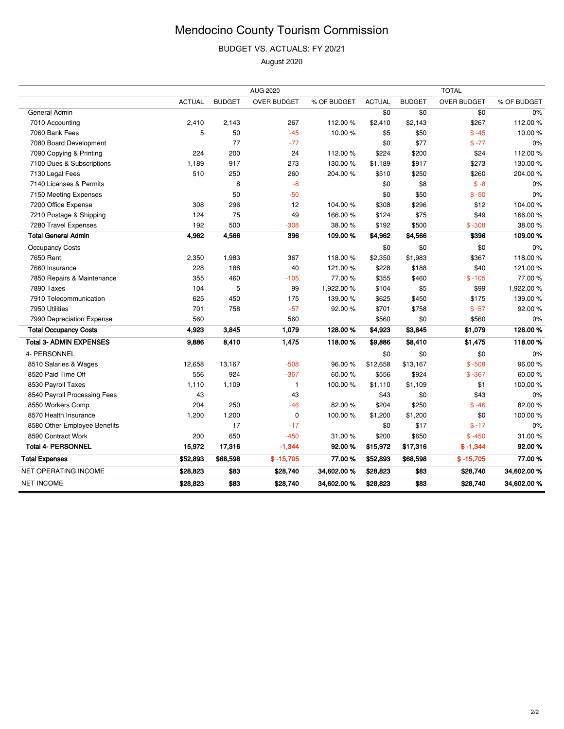BUDGET VS. ACTUALS: FY 20/21

|                                |               |               | <b>AUG 2020</b>    |             |               |               | <b>TOTAL</b>       |             |
|--------------------------------|---------------|---------------|--------------------|-------------|---------------|---------------|--------------------|-------------|
|                                | <b>ACTUAL</b> | <b>BUDGET</b> | <b>OVER BUDGET</b> | % OF BUDGET | <b>ACTUAL</b> | <b>BUDGET</b> | <b>OVER BUDGET</b> | % OF BUDGET |
| General Admin                  |               |               |                    |             | \$0           | \$0           | \$0                | 0%          |
| 7010 Accounting                | 2,410         | 2,143         | 267                | 112.00%     | \$2,410       | \$2,143       | \$267              | 112.00%     |
| 7060 Bank Fees                 | 5             | 50            | $-45$              | 10.00%      | \$5           | \$50          | $$ -45$            | 10.00%      |
| 7080 Board Development         |               | 77            | $-77$              |             | \$0           | \$77          | $$ -77$            | 0%          |
| 7090 Copying & Printing        | 224           | 200           | 24                 | 112.00%     | \$224         | \$200         | \$24               | 112.00%     |
| 7100 Dues & Subscriptions      | 1,189         | 917           | 273                | 130.00%     | \$1,189       | \$917         | \$273              | 130.00%     |
| 7130 Legal Fees                | 510           | 250           | 260                | 204.00%     | \$510         | \$250         | \$260              | 204.00%     |
| 7140 Licenses & Permits        |               | 8             | $-8$               |             | \$0           | \$8           | $$ -8$             | 0%          |
| 7150 Meeting Expenses          |               | 50            | $-50$              |             | \$0           | \$50          | $$ -50$            | 0%          |
| 7200 Office Expense            | 308           | 296           | 12                 | 104.00%     | \$308         | \$296         | \$12               | 104.00%     |
| 7210 Postage & Shipping        | 124           | 75            | 49                 | 166.00%     | \$124         | \$75          | \$49               | 166.00%     |
| 7280 Travel Expenses           | 192           | 500           | $-308$             | 38.00%      | \$192         | \$500         | $$ -308$           | 38.00%      |
| <b>Total General Admin</b>     | 4,962         | 4,566         | 396                | 109.00%     | \$4,962       | \$4,566       | \$396              | 109.00%     |
| Occupancy Costs                |               |               |                    |             | \$0           | \$0           | \$0                | 0%          |
| 7650 Rent                      | 2,350         | 1,983         | 367                | 118.00%     | \$2,350       | \$1,983       | \$367              | 118.00%     |
| 7660 Insurance                 | 228           | 188           | 40                 | 121.00%     | \$228         | \$188         | \$40               | 121.00%     |
| 7850 Repairs & Maintenance     | 355           | 460           | $-105$             | 77.00 %     | \$355         | \$460         | $$ -105$           | 77.00 %     |
| 7890 Taxes                     | 104           | 5             | 99                 | 1,922.00%   | \$104         | \$5           | \$99               | 1,922.00%   |
| 7910 Telecommunication         | 625           | 450           | 175                | 139.00%     | \$625         | \$450         | \$175              | 139.00%     |
| 7950 Utilities                 | 701           | 758           | $-57$              | 92.00%      | \$701         | \$758         | $$ -57$            | 92.00%      |
| 7990 Depreciation Expense      | 560           |               | 560                |             | \$560         | \$0           | \$560              | 0%          |
| <b>Total Occupancy Costs</b>   | 4,923         | 3,845         | 1,079              | 128.00%     | \$4,923       | \$3,845       | \$1,079            | 128.00%     |
| <b>Total 3- ADMIN EXPENSES</b> | 9,886         | 8,410         | 1,475              | 118.00%     | \$9,886       | \$8,410       | \$1,475            | 118.00%     |
| 4- PERSONNEL                   |               |               |                    |             | \$0           | \$0           | \$0                | 0%          |
| 8510 Salaries & Wages          | 12,658        | 13,167        | $-508$             | 96.00%      | \$12,658      | \$13,167      | $$ -508$           | 96.00%      |
| 8520 Paid Time Off             | 556           | 924           | $-367$             | 60.00%      | \$556         | \$924         | $$ -367$           | 60.00%      |
| 8530 Payroll Taxes             | 1,110         | 1,109         | $\mathbf{1}$       | 100.00%     | \$1,110       | \$1,109       | \$1                | 100.00%     |
| 8540 Payroll Processing Fees   | 43            |               | 43                 |             | \$43          | \$0           | \$43               | 0%          |
| 8550 Workers Comp              | 204           | 250           | $-46$              | 82.00 %     | \$204         | \$250         | $$ -46$            | 82.00%      |
| 8570 Health Insurance          | 1,200         | 1,200         | 0                  | 100.00%     | \$1,200       | \$1,200       | \$0                | 100.00%     |
| 8580 Other Employee Benefits   |               | 17            | $-17$              |             | \$0           | \$17          | $$ -17$            | $0\%$       |
| 8590 Contract Work             | 200           | 650           | $-450$             | 31.00%      | \$200         | \$650         | $$ -450$           | 31.00%      |
| <b>Total 4- PERSONNEL</b>      | 15,972        | 17,316        | $-1,344$           | 92.00%      | \$15,972      | \$17,316      | $$ -1,344$         | 92.00%      |
| <b>Total Expenses</b>          | \$52,893      | \$68,598      | $$ -15,705$        | 77.00 %     | \$52,893      | \$68,598      | $$ -15,705$        | 77.00 %     |
| NET OPERATING INCOME           | \$28,823      | \$83          | \$28,740           | 34,602.00 % | \$28,823      | \$83          | \$28,740           | 34,602.00 % |
| <b>NET INCOME</b>              | \$28,823      | \$83          | \$28,740           | 34,602.00 % | \$28,823      | \$83          | \$28,740           | 34,602.00 % |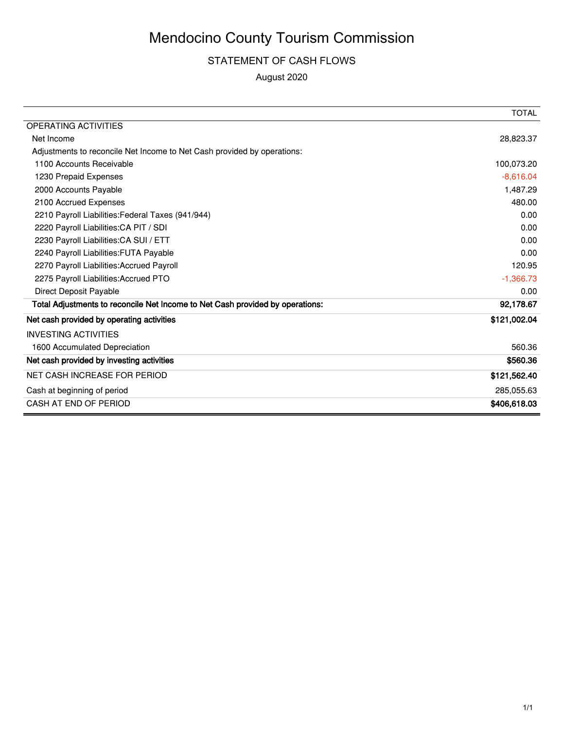#### STATEMENT OF CASH FLOWS

|                                                                               | <b>TOTAL</b> |
|-------------------------------------------------------------------------------|--------------|
| <b>OPERATING ACTIVITIES</b>                                                   |              |
| Net Income                                                                    | 28,823.37    |
| Adjustments to reconcile Net Income to Net Cash provided by operations:       |              |
| 1100 Accounts Receivable                                                      | 100,073.20   |
| 1230 Prepaid Expenses                                                         | $-8,616.04$  |
| 2000 Accounts Payable                                                         | 1,487.29     |
| 2100 Accrued Expenses                                                         | 480.00       |
| 2210 Payroll Liabilities: Federal Taxes (941/944)                             | 0.00         |
| 2220 Payroll Liabilities: CA PIT / SDI                                        | 0.00         |
| 2230 Payroll Liabilities: CA SUI / ETT                                        | 0.00         |
| 2240 Payroll Liabilities: FUTA Payable                                        | 0.00         |
| 2270 Payroll Liabilities: Accrued Payroll                                     | 120.95       |
| 2275 Payroll Liabilities: Accrued PTO                                         | $-1,366.73$  |
| <b>Direct Deposit Payable</b>                                                 | 0.00         |
| Total Adjustments to reconcile Net Income to Net Cash provided by operations: | 92,178.67    |
| Net cash provided by operating activities                                     | \$121,002.04 |
| <b>INVESTING ACTIVITIES</b>                                                   |              |
| 1600 Accumulated Depreciation                                                 | 560.36       |
| Net cash provided by investing activities                                     | \$560.36     |
| NET CASH INCREASE FOR PERIOD                                                  | \$121,562.40 |
| Cash at beginning of period                                                   | 285,055.63   |
| CASH AT END OF PERIOD                                                         | \$406,618.03 |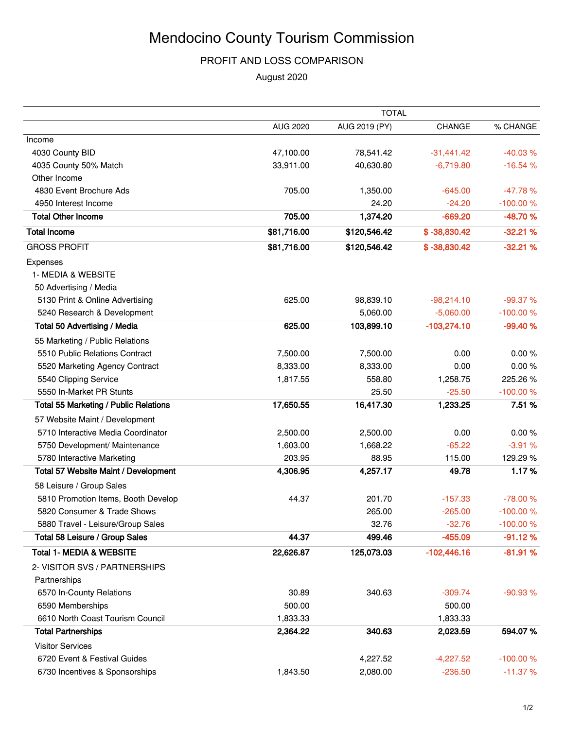#### PROFIT AND LOSS COMPARISON

|                                              | <b>TOTAL</b>    |               |                |            |  |  |  |
|----------------------------------------------|-----------------|---------------|----------------|------------|--|--|--|
|                                              | <b>AUG 2020</b> | AUG 2019 (PY) | <b>CHANGE</b>  | % CHANGE   |  |  |  |
| Income                                       |                 |               |                |            |  |  |  |
| 4030 County BID                              | 47,100.00       | 78,541.42     | $-31,441.42$   | $-40.03%$  |  |  |  |
| 4035 County 50% Match                        | 33,911.00       | 40.630.80     | $-6,719.80$    | $-16.54%$  |  |  |  |
| Other Income                                 |                 |               |                |            |  |  |  |
| 4830 Event Brochure Ads                      | 705.00          | 1,350.00      | $-645.00$      | $-47.78%$  |  |  |  |
| 4950 Interest Income                         |                 | 24.20         | $-24.20$       | $-100.00%$ |  |  |  |
| <b>Total Other Income</b>                    | 705.00          | 1,374.20      | $-669.20$      | -48.70%    |  |  |  |
| <b>Total Income</b>                          | \$81,716.00     | \$120,546.42  | $$ -38,830.42$ | $-32.21%$  |  |  |  |
| <b>GROSS PROFIT</b>                          | \$81,716.00     | \$120,546.42  | $$ -38,830.42$ | $-32.21%$  |  |  |  |
| Expenses                                     |                 |               |                |            |  |  |  |
| 1- MEDIA & WEBSITE                           |                 |               |                |            |  |  |  |
| 50 Advertising / Media                       |                 |               |                |            |  |  |  |
| 5130 Print & Online Advertising              | 625.00          | 98,839.10     | $-98,214.10$   | -99.37 %   |  |  |  |
| 5240 Research & Development                  |                 | 5,060.00      | $-5,060.00$    | $-100.00%$ |  |  |  |
| Total 50 Advertising / Media                 | 625.00          | 103,899.10    | $-103,274.10$  | $-99.40%$  |  |  |  |
| 55 Marketing / Public Relations              |                 |               |                |            |  |  |  |
| 5510 Public Relations Contract               | 7,500.00        | 7,500.00      | 0.00           | 0.00%      |  |  |  |
| 5520 Marketing Agency Contract               | 8,333.00        | 8,333.00      | 0.00           | 0.00%      |  |  |  |
| 5540 Clipping Service                        | 1,817.55        | 558.80        | 1,258.75       | 225.26%    |  |  |  |
| 5550 In-Market PR Stunts                     |                 | 25.50         | $-25.50$       | $-100.00%$ |  |  |  |
| <b>Total 55 Marketing / Public Relations</b> | 17,650.55       | 16,417.30     | 1,233.25       | 7.51%      |  |  |  |
| 57 Website Maint / Development               |                 |               |                |            |  |  |  |
| 5710 Interactive Media Coordinator           | 2,500.00        | 2,500.00      | 0.00           | 0.00%      |  |  |  |
| 5750 Development/ Maintenance                | 1,603.00        | 1,668.22      | $-65.22$       | $-3.91%$   |  |  |  |
| 5780 Interactive Marketing                   | 203.95          | 88.95         | 115.00         | 129.29%    |  |  |  |
| Total 57 Website Maint / Development         | 4,306.95        | 4,257.17      | 49.78          | 1.17%      |  |  |  |
| 58 Leisure / Group Sales                     |                 |               |                |            |  |  |  |
| 5810 Promotion Items, Booth Develop          | 44.37           | 201.70        | $-157.33$      | $-78.00%$  |  |  |  |
| 5820 Consumer & Trade Shows                  |                 | 265.00        | $-265.00$      | $-100.00%$ |  |  |  |
| 5880 Travel - Leisure/Group Sales            |                 | 32.76         | $-32.76$       | $-100.00%$ |  |  |  |
| Total 58 Leisure / Group Sales               | 44.37           | 499.46        | $-455.09$      | $-91.12%$  |  |  |  |
| <b>Total 1- MEDIA &amp; WEBSITE</b>          | 22,626.87       | 125,073.03    | $-102,446.16$  | $-81.91%$  |  |  |  |
| 2- VISITOR SVS / PARTNERSHIPS                |                 |               |                |            |  |  |  |
| Partnerships                                 |                 |               |                |            |  |  |  |
| 6570 In-County Relations                     | 30.89           | 340.63        | $-309.74$      | $-90.93%$  |  |  |  |
| 6590 Memberships                             | 500.00          |               | 500.00         |            |  |  |  |
| 6610 North Coast Tourism Council             | 1,833.33        |               | 1,833.33       |            |  |  |  |
| <b>Total Partnerships</b>                    | 2,364.22        | 340.63        | 2,023.59       | 594.07%    |  |  |  |
| <b>Visitor Services</b>                      |                 |               |                |            |  |  |  |
| 6720 Event & Festival Guides                 |                 | 4,227.52      | $-4,227.52$    | $-100.00%$ |  |  |  |
| 6730 Incentives & Sponsorships               | 1,843.50        | 2,080.00      | $-236.50$      | $-11.37%$  |  |  |  |